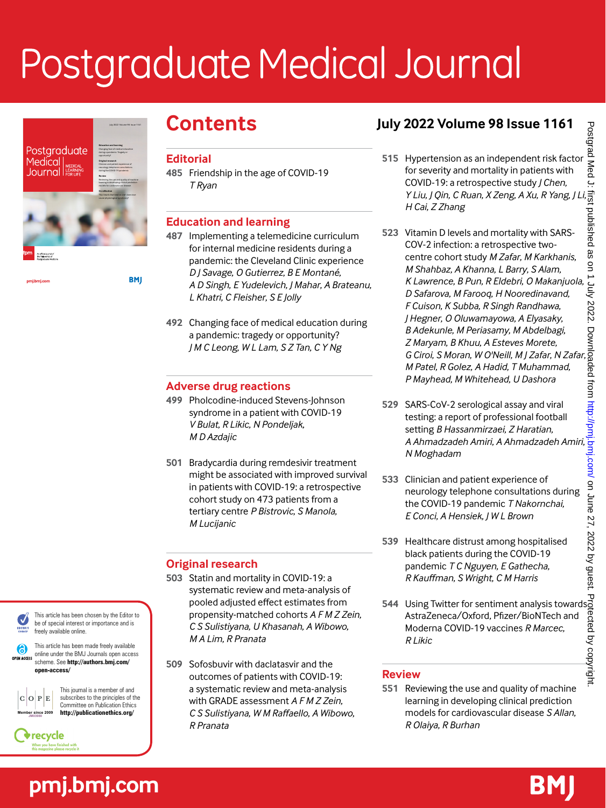# Postgraduate Medical Journal



July 2022 Volume 98 Issue 1161

**BMJ** 

pmi.bmi.con

**pmj.bmj.com**

This journal is a member of and subscribes to the principles of the Committee on Publication Ethics **http://publicationethics.org/**

This article has been made freely available online under the BMJ Journals open access scheme. See **http://authors.bmj.com/**

This article has been chosen by the Editor to be of special interest or importance and is

**open-access/**

 $|O|P|E$ **Member since 2009 JM03980**

recycle

EDITOR:

(6) OPEN ACCESS

freely available online.

# **Contents**

#### **Editorial**

**485** Friendship in the age of COVID-19 *T Ryan*

# **Education and learning**

- **487** Implementing a telemedicine curriculum for internal medicine residents during a pandemic: the Cleveland Clinic experience *D J Savage*, *O Gutierrez*, *B E Montané*, *A D Singh*, *E Yudelevich*, *J Mahar*, *A Brateanu*, *L Khatri*, *C Fleisher*, *S E Jolly*
- **492** Changing face of medical education during a pandemic: tragedy or opportunity? *J M C Leong*, *W L Lam*, *S Z Tan*, *C Y Ng*

# **Adverse drug reactions**

- **499** Pholcodine-induced Stevens-Johnson syndrome in a patient with COVID-19 *V Bulat*, *R Likic*, *N Pondeljak*, *M D Azdajic*
- **501** Bradycardia during remdesivir treatment might be associated with improved survival in patients with COVID-19: a retrospective cohort study on 473 patients from a tertiary centre *P Bistrovic*, *S Manola*, *M Lucijanic*

# **Original research**

- **503** Statin and mortality in COVID-19: a systematic review and meta-analysis of pooled adjusted effect estimates from propensity-matched cohorts *A F M Z Zein*, *C S Sulistiyana*, *U Khasanah*, *A Wibowo*, *M A Lim*, *R Pranata*
- **509** Sofosbuvir with daclatasvir and the outcomes of patients with COVID-19: a systematic review and meta-analysis with GRADE assessment *A F M Z Zein*, *C S Sulistiyana*, *W M Raffaello*, *A Wibowo*, *R Pranata*

# **July 2022 Volume 98 Issue 1161**

- **515** Hypertension as an independent risk factor for severity and mortality in patients with COVID-19: a retrospective study *J Chen*, *Y Liu*, *J Qin*, *C Ruan*, *X Zeng*, *A Xu*, *R Yang*, *J Li*, *H Cai*, *Z Zhang*
- **523** Vitamin D levels and mortality with SARS-COV-2 infection: a retrospective twocentre cohort study *M Zafar*, *M Karkhanis*, *M Shahbaz*, *A Khanna*, *L Barry*, *S Alam*, *K Lawrence*, *B Pun*, *R Eldebri*, *O Makanjuola*, *D Safarova*, *M Farooq*, *H Nooredinavand*, *F Cuison*, *K Subba*, *R Singh Randhawa*, *J Hegner*, *O Oluwamayowa*, *A Elyasaky*, *B Adekunle*, *M Periasamy*, *M Abdelbagi*, *Z Maryam*, *B Khuu*, *A Esteves Morete*, *G Ciroi*, *S Moran*, *W O'Neill*, *M J Zafar*, *N Zafar*, *M Patel*, *R Golez*, *A Hadid*, *T Muhammad*, *P Mayhead*, *M Whitehead*, *U Dashora*
- **529** SARS-CoV-2 serological assay and viral testing: a report of professional football setting *B Hassanmirzaei*, *Z Haratian*, *A Ahmadzadeh Amiri*, *A Ahmadzadeh Amiri*, *N Moghadam*
- **533** Clinician and patient experience of neurology telephone consultations during the COVID-19 pandemic *T Nakornchai*, *E Conci*, *A Hensiek*, *J W L Brown*
- **539** Healthcare distrust among hospitalised black patients during the COVID-19 pandemic *T C Nguyen*, *E Gathecha*, *R Kauffman*, *S Wright*, *C M Harris*
- **544** Using Twitter for sentiment analysis towards AstraZeneca/Oxford, Pfizer/BioNTech and Moderna COVID-19 vaccines *R Marcec*, *R Likic*

# **Review**

**551** Reviewing the use and quality of machine learning in developing clinical prediction models for cardiovascular disease *S Allan*, *R Olaiya*, *R Burhan*